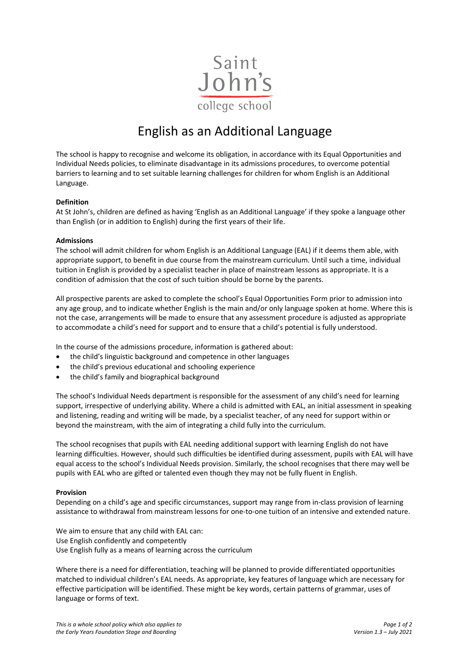

## English as an Additional Language

The school is happy to recognise and welcome its obligation, in accordance with its Equal Opportunities and Individual Needs policies, to eliminate disadvantage in its admissions procedures, to overcome potential barriers to learning and to set suitable learning challenges for children for whom English is an Additional Language.

## **Definition**

At St John's, children are defined as having 'English as an Additional Language' if they spoke a language other than English (or in addition to English) during the first years of their life.

## **Admissions**

The school will admit children for whom English is an Additional Language (EAL) if it deems them able, with appropriate support, to benefit in due course from the mainstream curriculum. Until such a time, individual tuition in English is provided by a specialist teacher in place of mainstream lessons as appropriate. It is a condition of admission that the cost of such tuition should be borne by the parents.

All prospective parents are asked to complete the school's Equal Opportunities Form prior to admission into any age group, and to indicate whether English is the main and/or only language spoken at home. Where this is not the case, arrangements will be made to ensure that any assessment procedure is adjusted as appropriate to accommodate a child's need for support and to ensure that a child's potential is fully understood.

In the course of the admissions procedure, information is gathered about:

- the child's linguistic background and competence in other languages
- the child's previous educational and schooling experience
- the child's family and biographical background

The school's Individual Needs department is responsible for the assessment of any child's need for learning support, irrespective of underlying ability. Where a child is admitted with EAL, an initial assessment in speaking and listening, reading and writing will be made, by a specialist teacher, of any need for support within or beyond the mainstream, with the aim of integrating a child fully into the curriculum.

The school recognises that pupils with EAL needing additional support with learning English do not have learning difficulties. However, should such difficulties be identified during assessment, pupils with EAL will have equal access to the school's Individual Needs provision. Similarly, the school recognises that there may well be pupils with EAL who are gifted or talented even though they may not be fully fluent in English.

## **Provision**

Depending on a child's age and specific circumstances, support may range from in-class provision of learning assistance to withdrawal from mainstream lessons for one-to-one tuition of an intensive and extended nature.

We aim to ensure that any child with EAL can: Use English confidently and competently Use English fully as a means of learning across the curriculum

Where there is a need for differentiation, teaching will be planned to provide differentiated opportunities matched to individual children's EAL needs. As appropriate, key features of language which are necessary for effective participation will be identified. These might be key words, certain patterns of grammar, uses of language or forms of text.